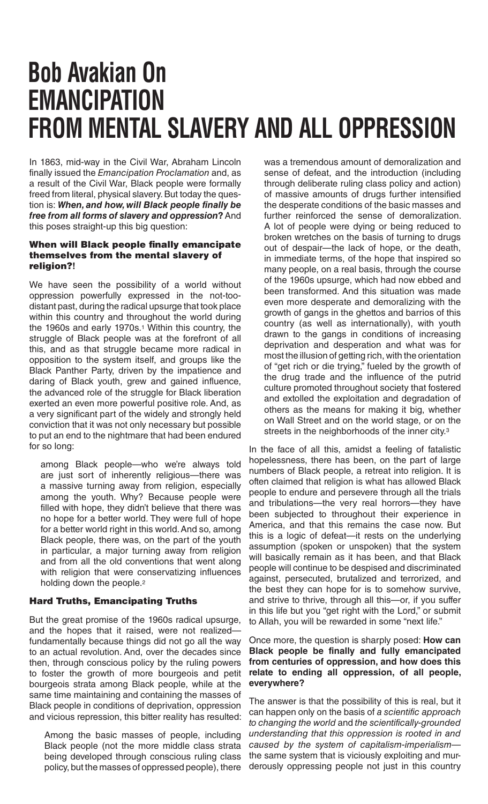## **Bob Avakian On EMANCIPATION FROM MENTAL SLAVERY AND ALL OPPRESSION**

In 1863, mid-way in the Civil War, Abraham Lincoln finally issued the *Emancipation Proclamation* and, as a result of the Civil War, Black people were formally freed from literal, physical slavery. But today the question is: *When, and how, will Black people finally be free from all forms of slavery and oppression*? And this poses straight-up this big question:

## When will Black people finally emancipate themselves from the mental slavery of religion?**!**

We have seen the possibility of a world without oppression powerfully expressed in the not-toodistant past, during the radical upsurge that took place within this country and throughout the world during the 1960s and early 1970s.<sup>1</sup> Within this country, the struggle of Black people was at the forefront of all this, and as that struggle became more radical in opposition to the system itself, and groups like the Black Panther Party, driven by the impatience and daring of Black youth, grew and gained influence, the advanced role of the struggle for Black liberation exerted an even more powerful positive role. And, as a very significant part of the widely and strongly held conviction that it was not only necessary but possible to put an end to the nightmare that had been endured for so long:

among Black people—who we're always told are just sort of inherently religious—there was a massive turning away from religion, especially among the youth. Why? Because people were filled with hope, they didn't believe that there was no hope for a better world. They were full of hope for a better world right in this world. And so, among Black people, there was, on the part of the youth in particular, a major turning away from religion and from all the old conventions that went along with religion that were conservatizing influences holding down the people.2

## Hard Truths, Emancipating Truths

But the great promise of the 1960s radical upsurge, and the hopes that it raised, were not realizedfundamentally because things did not go all the way to an actual revolution. And, over the decades since then, through conscious policy by the ruling powers to foster the growth of more bourgeois and petit bourgeois strata among Black people, while at the same time maintaining and containing the masses of Black people in conditions of deprivation, oppression and vicious repression, this bitter reality has resulted:

Among the basic masses of people, including Black people (not the more middle class strata being developed through conscious ruling class policy, but the masses of oppressed people), there

was a tremendous amount of demoralization and sense of defeat, and the introduction (including through deliberate ruling class policy and action) of massive amounts of drugs further intensified the desperate conditions of the basic masses and further reinforced the sense of demoralization. A lot of people were dying or being reduced to broken wretches on the basis of turning to drugs out of despair—the lack of hope, or the death, in immediate terms, of the hope that inspired so many people, on a real basis, through the course of the 1960s upsurge, which had now ebbed and been transformed. And this situation was made even more desperate and demoralizing with the growth of gangs in the ghettos and barrios of this country (as well as internationally), with youth drawn to the gangs in conditions of increasing deprivation and desperation and what was for most the illusion of getting rich, with the orientation of "get rich or die trying," fueled by the growth of the drug trade and the influence of the putrid culture promoted throughout society that fostered and extolled the exploitation and degradation of others as the means for making it big, whether on Wall Street and on the world stage, or on the streets in the neighborhoods of the inner city.3

In the face of all this, amidst a feeling of fatalistic hopelessness, there has been, on the part of large numbers of Black people, a retreat into religion. It is often claimed that religion is what has allowed Black people to endure and persevere through all the trials and tribulations—the very real horrors—they have been subjected to throughout their experience in America, and that this remains the case now. But this is a logic of defeat—it rests on the underlying assumption (spoken or unspoken) that the system will basically remain as it has been, and that Black people will continue to be despised and discriminated against, persecuted, brutalized and terrorized, and the best they can hope for is to somehow survive, and strive to thrive, through all this—or, if you suffer in this life but you "get right with the Lord," or submit to Allah, you will be rewarded in some "next life."

## Once more, the question is sharply posed: **How can Black people be finally and fully emancipated from centuries of oppression, and how does this relate to ending all oppression, of all people, everywhere?**

The answer is that the possibility of this is real, but it can happen only on the basis of *a scientific approach to changing the world* and *the scientifically-grounded understanding that this oppression is rooted in and caused by the system of capitalism-imperialism* the same system that is viciously exploiting and murderously oppressing people not just in this country